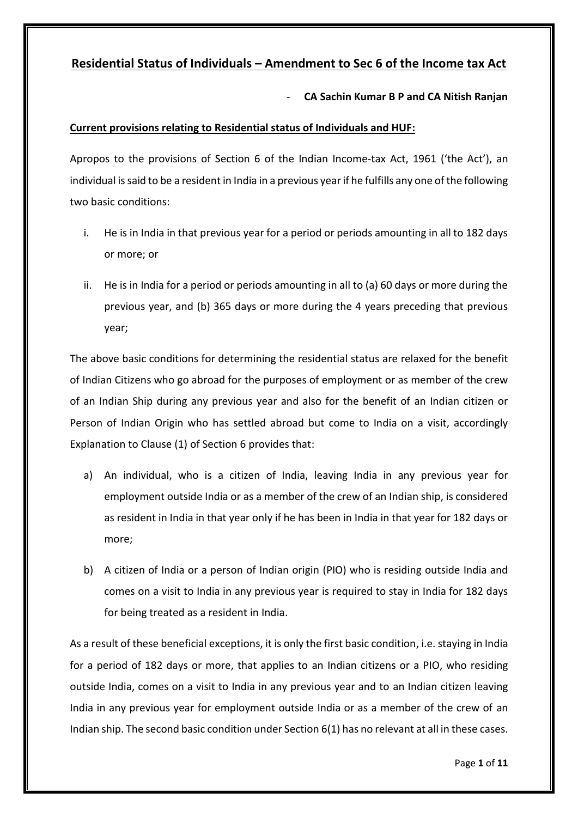# **Residential Status of Individuals – Amendment to Sec 6 of the Income tax Act**

- **CA Sachin Kumar B P and CA Nitish Ranjan**

# **Current provisions relating to Residential status of Individuals and HUF:**

Apropos to the provisions of Section 6 of the Indian Income-tax Act, 1961 ('the Act'), an individual is said to be a resident in India in a previous year if he fulfills any one of the following two basic conditions:

- i. He is in India in that previous year for a period or periods amounting in all to 182 days or more; or
- ii. He is in India for a period or periods amounting in all to (a) 60 days or more during the previous year, and (b) 365 days or more during the 4 years preceding that previous year;

The above basic conditions for determining the residential status are relaxed for the benefit of Indian Citizens who go abroad for the purposes of employment or as member of the crew of an Indian Ship during any previous year and also for the benefit of an Indian citizen or Person of Indian Origin who has settled abroad but come to India on a visit, accordingly Explanation to Clause (1) of Section 6 provides that:

- a) An individual, who is a citizen of India, leaving India in any previous year for employment outside India or as a member of the crew of an Indian ship, is considered as resident in India in that year only if he has been in India in that year for 182 days or more;
- b) A citizen of India or a person of Indian origin (PIO) who is residing outside India and comes on a visit to India in any previous year is required to stay in India for 182 days for being treated as a resident in India.

As a result of these beneficial exceptions, it is only the first basic condition, i.e. staying in India for a period of 182 days or more, that applies to an Indian citizens or a PIO, who residing outside India, comes on a visit to India in any previous year and to an Indian citizen leaving India in any previous year for employment outside India or as a member of the crew of an Indian ship. The second basic condition under Section 6(1) has no relevant at all in these cases.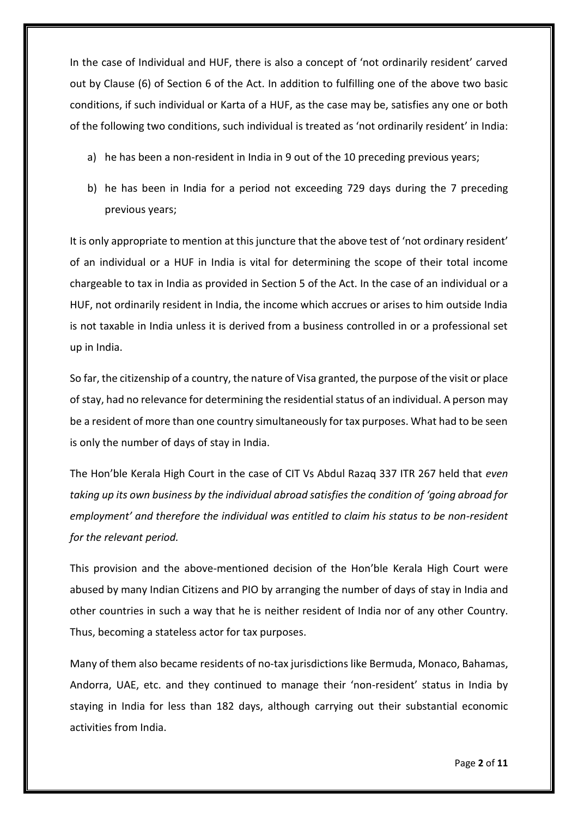In the case of Individual and HUF, there is also a concept of 'not ordinarily resident' carved out by Clause (6) of Section 6 of the Act. In addition to fulfilling one of the above two basic conditions, if such individual or Karta of a HUF, as the case may be, satisfies any one or both of the following two conditions, such individual is treated as 'not ordinarily resident' in India:

- a) he has been a non-resident in India in 9 out of the 10 preceding previous years;
- b) he has been in India for a period not exceeding 729 days during the 7 preceding previous years;

It is only appropriate to mention at this juncture that the above test of 'not ordinary resident' of an individual or a HUF in India is vital for determining the scope of their total income chargeable to tax in India as provided in Section 5 of the Act. In the case of an individual or a HUF, not ordinarily resident in India, the income which accrues or arises to him outside India is not taxable in India unless it is derived from a business controlled in or a professional set up in India.

So far, the citizenship of a country, the nature of Visa granted, the purpose of the visit or place of stay, had no relevance for determining the residential status of an individual. A person may be a resident of more than one country simultaneously for tax purposes. What had to be seen is only the number of days of stay in India.

The Hon'ble Kerala High Court in the case of CIT Vs Abdul Razaq 337 ITR 267 held that *even taking up its own business by the individual abroad satisfies the condition of 'going abroad for employment' and therefore the individual was entitled to claim his status to be non-resident for the relevant period.*

This provision and the above-mentioned decision of the Hon'ble Kerala High Court were abused by many Indian Citizens and PIO by arranging the number of days of stay in India and other countries in such a way that he is neither resident of India nor of any other Country. Thus, becoming a stateless actor for tax purposes.

Many of them also became residents of no-tax jurisdictions like Bermuda, Monaco, Bahamas, Andorra, UAE, etc. and they continued to manage their 'non-resident' status in India by staying in India for less than 182 days, although carrying out their substantial economic activities from India.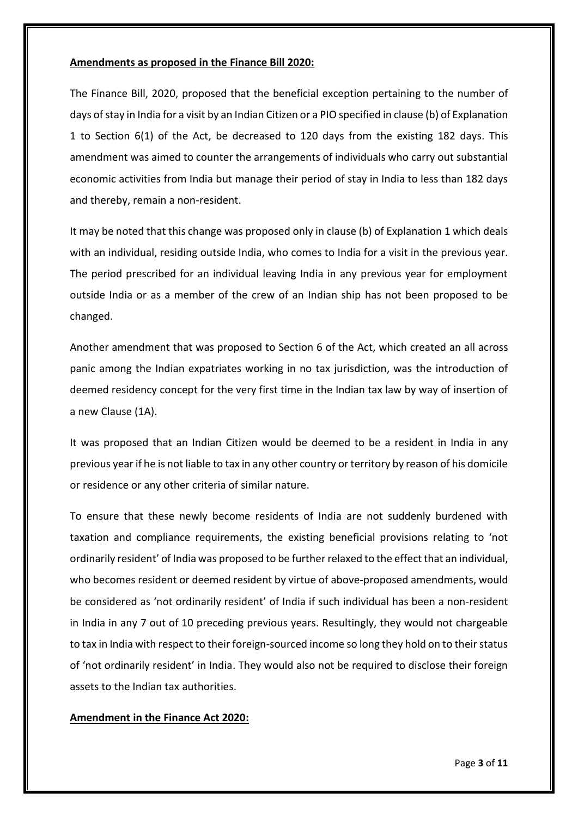#### **Amendments as proposed in the Finance Bill 2020:**

The Finance Bill, 2020, proposed that the beneficial exception pertaining to the number of days of stay in India for a visit by an Indian Citizen or a PIO specified in clause (b) of Explanation 1 to Section 6(1) of the Act, be decreased to 120 days from the existing 182 days. This amendment was aimed to counter the arrangements of individuals who carry out substantial economic activities from India but manage their period of stay in India to less than 182 days and thereby, remain a non-resident.

It may be noted that this change was proposed only in clause (b) of Explanation 1 which deals with an individual, residing outside India, who comes to India for a visit in the previous year. The period prescribed for an individual leaving India in any previous year for employment outside India or as a member of the crew of an Indian ship has not been proposed to be changed.

Another amendment that was proposed to Section 6 of the Act, which created an all across panic among the Indian expatriates working in no tax jurisdiction, was the introduction of deemed residency concept for the very first time in the Indian tax law by way of insertion of a new Clause (1A).

It was proposed that an Indian Citizen would be deemed to be a resident in India in any previous year if he is not liable to tax in any other country or territory by reason of his domicile or residence or any other criteria of similar nature.

To ensure that these newly become residents of India are not suddenly burdened with taxation and compliance requirements, the existing beneficial provisions relating to 'not ordinarily resident' of India was proposed to be further relaxed to the effect that an individual, who becomes resident or deemed resident by virtue of above-proposed amendments, would be considered as 'not ordinarily resident' of India if such individual has been a non-resident in India in any 7 out of 10 preceding previous years. Resultingly, they would not chargeable to tax in India with respect to their foreign-sourced income so long they hold on to their status of 'not ordinarily resident' in India. They would also not be required to disclose their foreign assets to the Indian tax authorities.

# **Amendment in the Finance Act 2020:**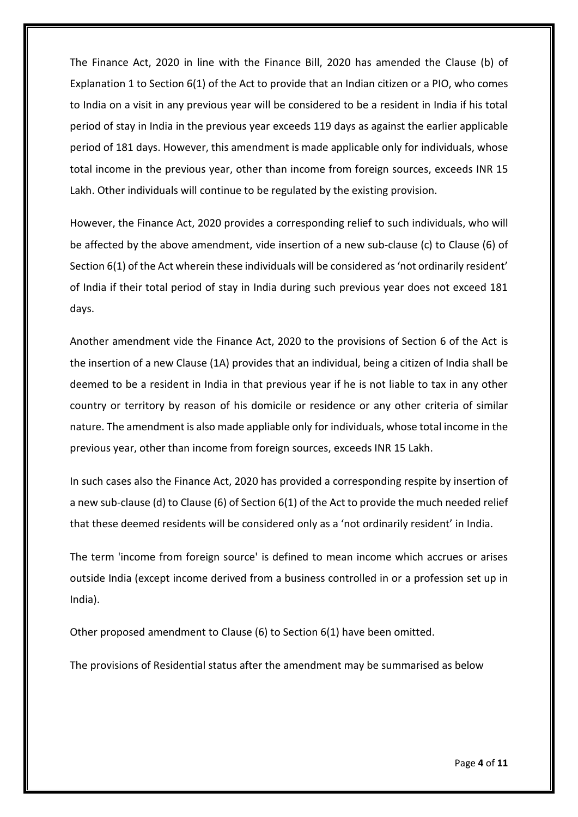The Finance Act, 2020 in line with the Finance Bill, 2020 has amended the Clause (b) of Explanation 1 to Section 6(1) of the Act to provide that an Indian citizen or a PIO, who comes to India on a visit in any previous year will be considered to be a resident in India if his total period of stay in India in the previous year exceeds 119 days as against the earlier applicable period of 181 days. However, this amendment is made applicable only for individuals, whose total income in the previous year, other than income from foreign sources, exceeds INR 15 Lakh. Other individuals will continue to be regulated by the existing provision.

However, the Finance Act, 2020 provides a corresponding relief to such individuals, who will be affected by the above amendment, vide insertion of a new sub-clause (c) to Clause (6) of Section 6(1) of the Act wherein these individuals will be considered as 'not ordinarily resident' of India if their total period of stay in India during such previous year does not exceed 181 days.

Another amendment vide the Finance Act, 2020 to the provisions of Section 6 of the Act is the insertion of a new Clause (1A) provides that an individual, being a citizen of India shall be deemed to be a resident in India in that previous year if he is not liable to tax in any other country or territory by reason of his domicile or residence or any other criteria of similar nature. The amendment is also made appliable only for individuals, whose total income in the previous year, other than income from foreign sources, exceeds INR 15 Lakh.

In such cases also the Finance Act, 2020 has provided a corresponding respite by insertion of a new sub-clause (d) to Clause (6) of Section 6(1) of the Act to provide the much needed relief that these deemed residents will be considered only as a 'not ordinarily resident' in India.

The term 'income from foreign source' is defined to mean income which accrues or arises outside India (except income derived from a business controlled in or a profession set up in India).

Other proposed amendment to Clause (6) to Section 6(1) have been omitted.

The provisions of Residential status after the amendment may be summarised as below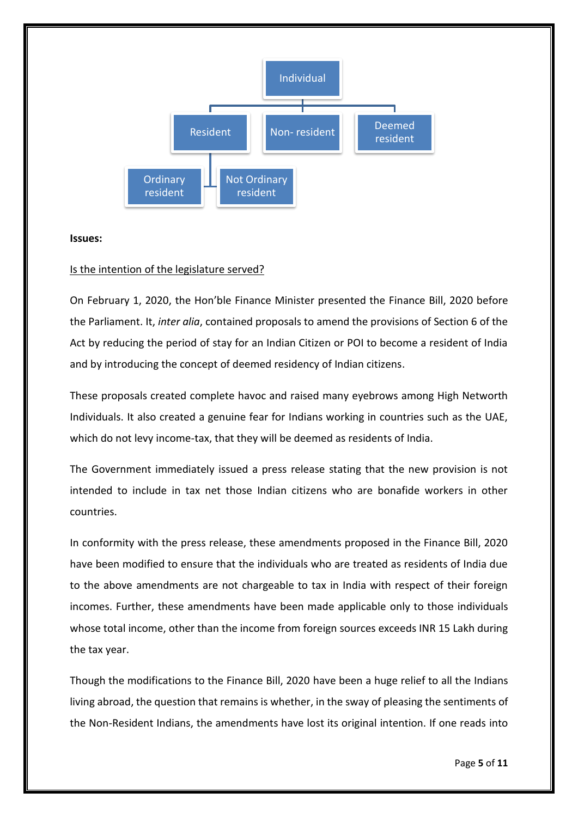

**Issues:**

#### Is the intention of the legislature served?

On February 1, 2020, the Hon'ble Finance Minister presented the Finance Bill, 2020 before the Parliament. It, *inter alia*, contained proposals to amend the provisions of Section 6 of the Act by reducing the period of stay for an Indian Citizen or POI to become a resident of India and by introducing the concept of deemed residency of Indian citizens.

These proposals created complete havoc and raised many eyebrows among High Networth Individuals. It also created a genuine fear for Indians working in countries such as the UAE, which do not levy income-tax, that they will be deemed as residents of India.

The Government immediately issued a press release stating that the new provision is not intended to include in tax net those Indian citizens who are bonafide workers in other countries.

In conformity with the press release, these amendments proposed in the Finance Bill, 2020 have been modified to ensure that the individuals who are treated as residents of India due to the above amendments are not chargeable to tax in India with respect of their foreign incomes. Further, these amendments have been made applicable only to those individuals whose total income, other than the income from foreign sources exceeds INR 15 Lakh during the tax year.

Though the modifications to the Finance Bill, 2020 have been a huge relief to all the Indians living abroad, the question that remains is whether, in the sway of pleasing the sentiments of the Non-Resident Indians, the amendments have lost its original intention. If one reads into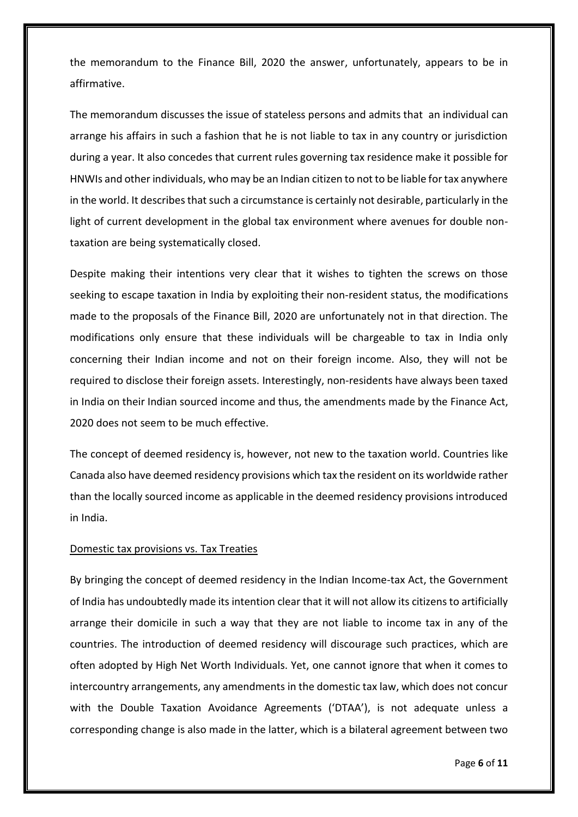the memorandum to the Finance Bill, 2020 the answer, unfortunately, appears to be in affirmative.

The memorandum discusses the issue of stateless persons and admits that an individual can arrange his affairs in such a fashion that he is not liable to tax in any country or jurisdiction during a year. It also concedes that current rules governing tax residence make it possible for HNWIs and other individuals, who may be an Indian citizen to not to be liable for tax anywhere in the world. It describes that such a circumstance is certainly not desirable, particularly in the light of current development in the global tax environment where avenues for double nontaxation are being systematically closed.

Despite making their intentions very clear that it wishes to tighten the screws on those seeking to escape taxation in India by exploiting their non-resident status, the modifications made to the proposals of the Finance Bill, 2020 are unfortunately not in that direction. The modifications only ensure that these individuals will be chargeable to tax in India only concerning their Indian income and not on their foreign income. Also, they will not be required to disclose their foreign assets. Interestingly, non-residents have always been taxed in India on their Indian sourced income and thus, the amendments made by the Finance Act, 2020 does not seem to be much effective.

The concept of deemed residency is, however, not new to the taxation world. Countries like Canada also have deemed residency provisions which tax the resident on its worldwide rather than the locally sourced income as applicable in the deemed residency provisions introduced in India.

#### Domestic tax provisions vs. Tax Treaties

By bringing the concept of deemed residency in the Indian Income-tax Act, the Government of India has undoubtedly made its intention clear that it will not allow its citizens to artificially arrange their domicile in such a way that they are not liable to income tax in any of the countries. The introduction of deemed residency will discourage such practices, which are often adopted by High Net Worth Individuals. Yet, one cannot ignore that when it comes to intercountry arrangements, any amendments in the domestic tax law, which does not concur with the Double Taxation Avoidance Agreements ('DTAA'), is not adequate unless a corresponding change is also made in the latter, which is a bilateral agreement between two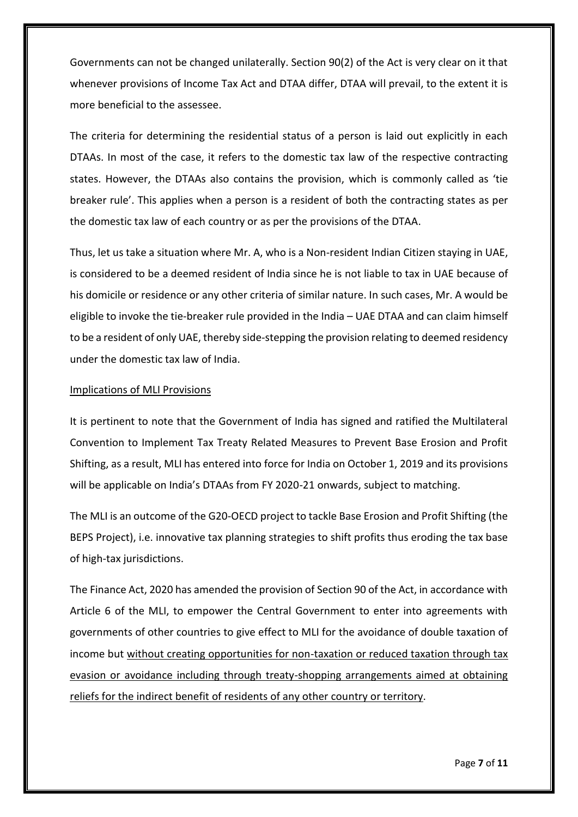Governments can not be changed unilaterally. Section 90(2) of the Act is very clear on it that whenever provisions of Income Tax Act and DTAA differ, DTAA will prevail, to the extent it is more beneficial to the assessee.

The criteria for determining the residential status of a person is laid out explicitly in each DTAAs. In most of the case, it refers to the domestic tax law of the respective contracting states. However, the DTAAs also contains the provision, which is commonly called as 'tie breaker rule'. This applies when a person is a resident of both the contracting states as per the domestic tax law of each country or as per the provisions of the DTAA.

Thus, let us take a situation where Mr. A, who is a Non-resident Indian Citizen staying in UAE, is considered to be a deemed resident of India since he is not liable to tax in UAE because of his domicile or residence or any other criteria of similar nature. In such cases, Mr. A would be eligible to invoke the tie-breaker rule provided in the India – UAE DTAA and can claim himself to be a resident of only UAE, thereby side-stepping the provision relating to deemed residency under the domestic tax law of India.

## Implications of MLI Provisions

It is pertinent to note that the Government of India has signed and ratified the Multilateral Convention to Implement Tax Treaty Related Measures to Prevent Base Erosion and Profit Shifting, as a result, MLI has entered into force for India on October 1, 2019 and its provisions will be applicable on India's DTAAs from FY 2020-21 onwards, subject to matching.

The MLI is an outcome of the G20-OECD project to tackle Base Erosion and Profit Shifting (the BEPS Project), i.e. innovative tax planning strategies to shift profits thus eroding the tax base of high-tax jurisdictions.

The Finance Act, 2020 has amended the provision of Section 90 of the Act, in accordance with Article 6 of the MLI, to empower the Central Government to enter into agreements with governments of other countries to give effect to MLI for the avoidance of double taxation of income but without creating opportunities for non-taxation or reduced taxation through tax evasion or avoidance including through treaty-shopping arrangements aimed at obtaining reliefs for the indirect benefit of residents of any other country or territory.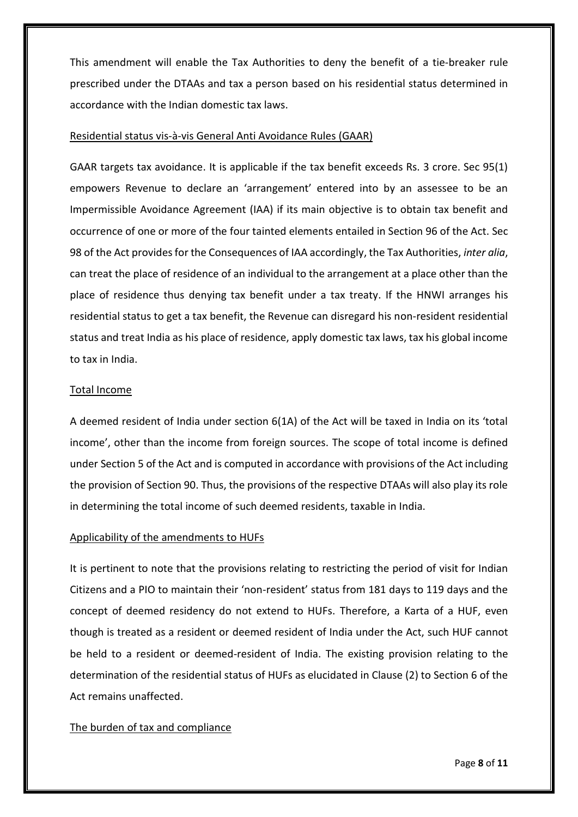This amendment will enable the Tax Authorities to deny the benefit of a tie-breaker rule prescribed under the DTAAs and tax a person based on his residential status determined in accordance with the Indian domestic tax laws.

#### Residential status vis-à-vis General Anti Avoidance Rules (GAAR)

GAAR targets tax avoidance. It is applicable if the tax benefit exceeds Rs. 3 crore. Sec 95(1) empowers Revenue to declare an 'arrangement' entered into by an assessee to be an Impermissible Avoidance Agreement (IAA) if its main objective is to obtain tax benefit and occurrence of one or more of the four tainted elements entailed in Section 96 of the Act. Sec 98 of the Act provides for the Consequences of IAA accordingly, the Tax Authorities, *inter alia*, can treat the place of residence of an individual to the arrangement at a place other than the place of residence thus denying tax benefit under a tax treaty. If the HNWI arranges his residential status to get a tax benefit, the Revenue can disregard his non-resident residential status and treat India as his place of residence, apply domestic tax laws, tax his global income to tax in India.

## Total Income

A deemed resident of India under section 6(1A) of the Act will be taxed in India on its 'total income', other than the income from foreign sources. The scope of total income is defined under Section 5 of the Act and is computed in accordance with provisions of the Act including the provision of Section 90. Thus, the provisions of the respective DTAAs will also play its role in determining the total income of such deemed residents, taxable in India.

#### Applicability of the amendments to HUFs

It is pertinent to note that the provisions relating to restricting the period of visit for Indian Citizens and a PIO to maintain their 'non-resident' status from 181 days to 119 days and the concept of deemed residency do not extend to HUFs. Therefore, a Karta of a HUF, even though is treated as a resident or deemed resident of India under the Act, such HUF cannot be held to a resident or deemed-resident of India. The existing provision relating to the determination of the residential status of HUFs as elucidated in Clause (2) to Section 6 of the Act remains unaffected.

# The burden of tax and compliance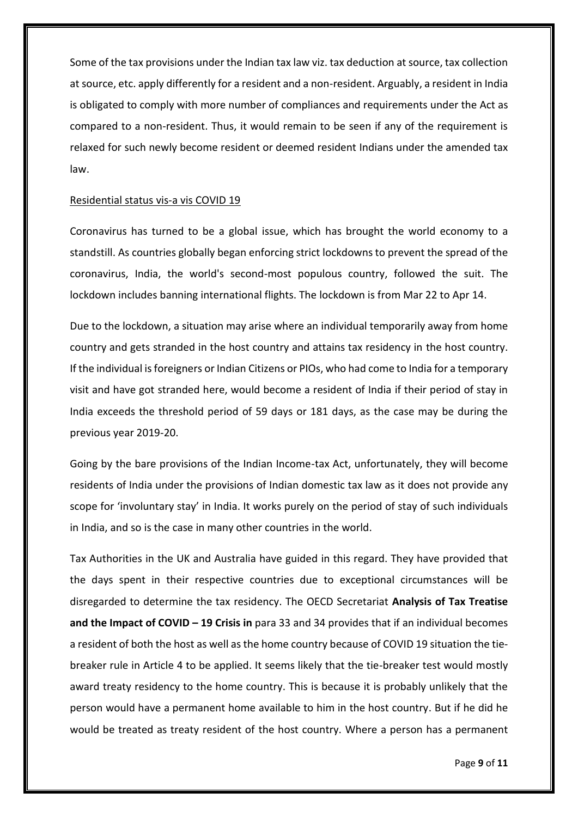Some of the tax provisions under the Indian tax law viz. tax deduction at source, tax collection at source, etc. apply differently for a resident and a non-resident. Arguably, a resident in India is obligated to comply with more number of compliances and requirements under the Act as compared to a non-resident. Thus, it would remain to be seen if any of the requirement is relaxed for such newly become resident or deemed resident Indians under the amended tax law.

#### Residential status vis-a vis COVID 19

Coronavirus has turned to be a global issue, which has brought the world economy to a standstill. As countries globally began enforcing strict lockdowns to prevent the spread of the coronavirus, India, the world's second-most populous country, followed the suit. The lockdown includes banning international flights. The lockdown is from Mar 22 to Apr 14.

Due to the lockdown, a situation may arise where an individual temporarily away from home country and gets stranded in the host country and attains tax residency in the host country. If the individual is foreigners or Indian Citizens or PIOs, who had come to India for a temporary visit and have got stranded here, would become a resident of India if their period of stay in India exceeds the threshold period of 59 days or 181 days, as the case may be during the previous year 2019-20.

Going by the bare provisions of the Indian Income-tax Act, unfortunately, they will become residents of India under the provisions of Indian domestic tax law as it does not provide any scope for 'involuntary stay' in India. It works purely on the period of stay of such individuals in India, and so is the case in many other countries in the world.

Tax Authorities in the UK and Australia have guided in this regard. They have provided that the days spent in their respective countries due to exceptional circumstances will be disregarded to determine the tax residency. The OECD Secretariat **Analysis of Tax Treatise and the Impact of COVID – 19 Crisis in** para 33 and 34 provides that if an individual becomes a resident of both the host as well as the home country because of COVID 19 situation the tiebreaker rule in Article 4 to be applied. It seems likely that the tie-breaker test would mostly award treaty residency to the home country. This is because it is probably unlikely that the person would have a permanent home available to him in the host country. But if he did he would be treated as treaty resident of the host country. Where a person has a permanent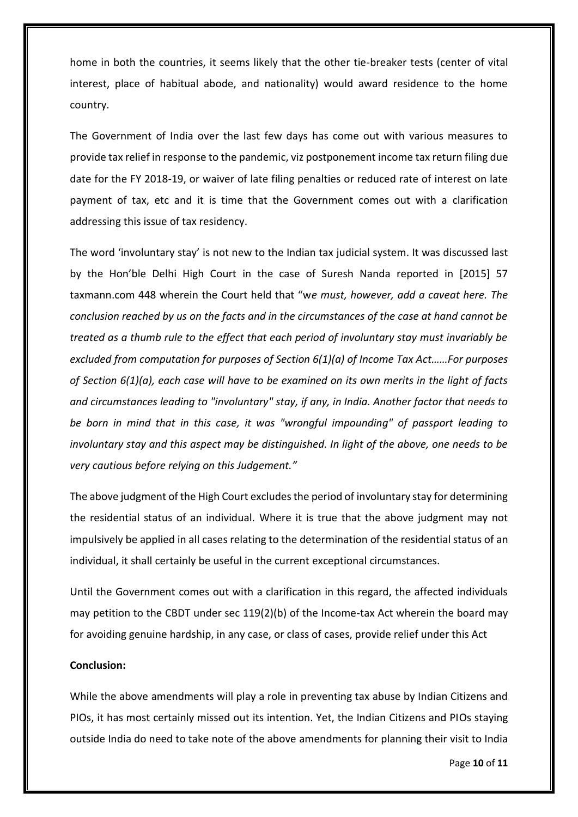home in both the countries, it seems likely that the other tie-breaker tests (center of vital interest, place of habitual abode, and nationality) would award residence to the home country.

The Government of India over the last few days has come out with various measures to provide tax relief in response to the pandemic, viz postponement income tax return filing due date for the FY 2018-19, or waiver of late filing penalties or reduced rate of interest on late payment of tax, etc and it is time that the Government comes out with a clarification addressing this issue of tax residency.

The word 'involuntary stay' is not new to the Indian tax judicial system. It was discussed last by the Hon'ble Delhi High Court in the case of Suresh Nanda reported in [2015] 57 taxmann.com 448 wherein the Court held that "w*e must, however, add a caveat here. The conclusion reached by us on the facts and in the circumstances of the case at hand cannot be treated as a thumb rule to the effect that each period of involuntary stay must invariably be excluded from computation for purposes of Section 6(1)(a) of Income Tax Act……For purposes of Section 6(1)(a), each case will have to be examined on its own merits in the light of facts and circumstances leading to "involuntary" stay, if any, in India. Another factor that needs to be born in mind that in this case, it was "wrongful impounding" of passport leading to involuntary stay and this aspect may be distinguished. In light of the above, one needs to be very cautious before relying on this Judgement."*

The above judgment of the High Court excludes the period of involuntary stay for determining the residential status of an individual. Where it is true that the above judgment may not impulsively be applied in all cases relating to the determination of the residential status of an individual, it shall certainly be useful in the current exceptional circumstances.

Until the Government comes out with a clarification in this regard, the affected individuals may petition to the CBDT under sec 119(2)(b) of the Income-tax Act wherein the board may for avoiding genuine hardship, in any case, or class of cases, provide relief under this Act

#### **Conclusion:**

While the above amendments will play a role in preventing tax abuse by Indian Citizens and PIOs, it has most certainly missed out its intention. Yet, the Indian Citizens and PIOs staying outside India do need to take note of the above amendments for planning their visit to India

Page **10** of **11**